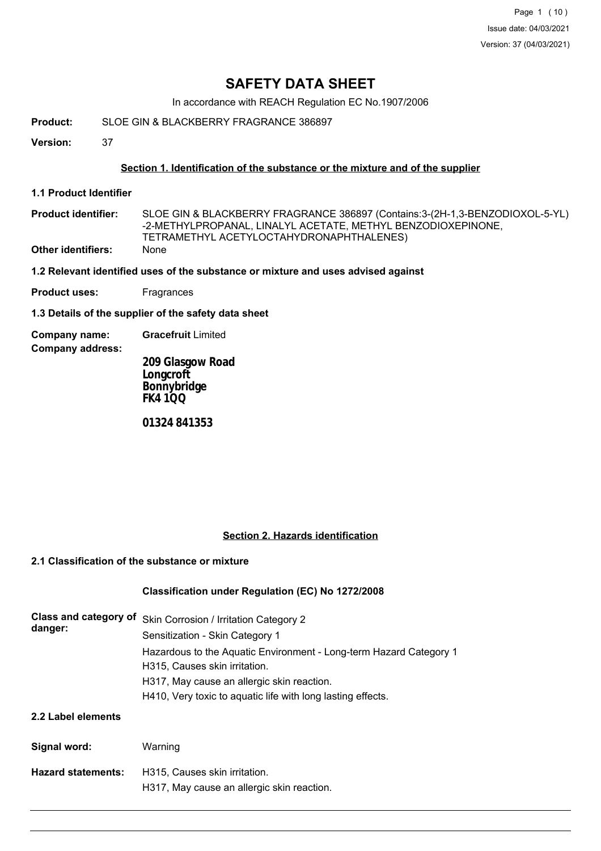Page 1 (10) Issue date: 04/03/2021 Version: 37 (04/03/2021)

# **SAFETY DATA SHEET**

In accordance with REACH Regulation EC No.1907/2006

**Product:** SLOE GIN & BLACKBERRY FRAGRANCE 386897

**Version:** 37

#### **Section 1. Identification of the substance or the mixture and of the supplier**

- **1.1 Product Identifier**
- SLOE GIN & BLACKBERRY FRAGRANCE 386897 (Contains:3-(2H-1,3-BENZODIOXOL-5-YL) -2-METHYLPROPANAL, LINALYL ACETATE, METHYL BENZODIOXEPINONE, TETRAMETHYL ACETYLOCTAHYDRONAPHTHALENES) **Product identifier: Other identifiers:** None
- **1.2 Relevant identified uses of the substance or mixture and uses advised against**
- **Product uses:** Fragrances

**1.3 Details of the supplier of the safety data sheet**

- **Company name: Gracefruit** Limited
- **Company address:**

**209 Glasgow Road Longcroft Bonnybridge FK4 1QQ**

**01324 841353**

#### **Section 2. Hazards identification**

#### **2.1 Classification of the substance or mixture**

# **Classification under Regulation (EC) No 1272/2008**

| Class and category of<br>danger: | Skin Corrosion / Irritation Category 2<br>Sensitization - Skin Category 1<br>Hazardous to the Aquatic Environment - Long-term Hazard Category 1<br>H315, Causes skin irritation.<br>H317, May cause an allergic skin reaction.<br>H410, Very toxic to aquatic life with long lasting effects. |
|----------------------------------|-----------------------------------------------------------------------------------------------------------------------------------------------------------------------------------------------------------------------------------------------------------------------------------------------|
| 2.2 Label elements               |                                                                                                                                                                                                                                                                                               |
| Signal word:                     | Warning                                                                                                                                                                                                                                                                                       |
| <b>Hazard statements:</b>        | H315. Causes skin irritation.<br>H317, May cause an allergic skin reaction.                                                                                                                                                                                                                   |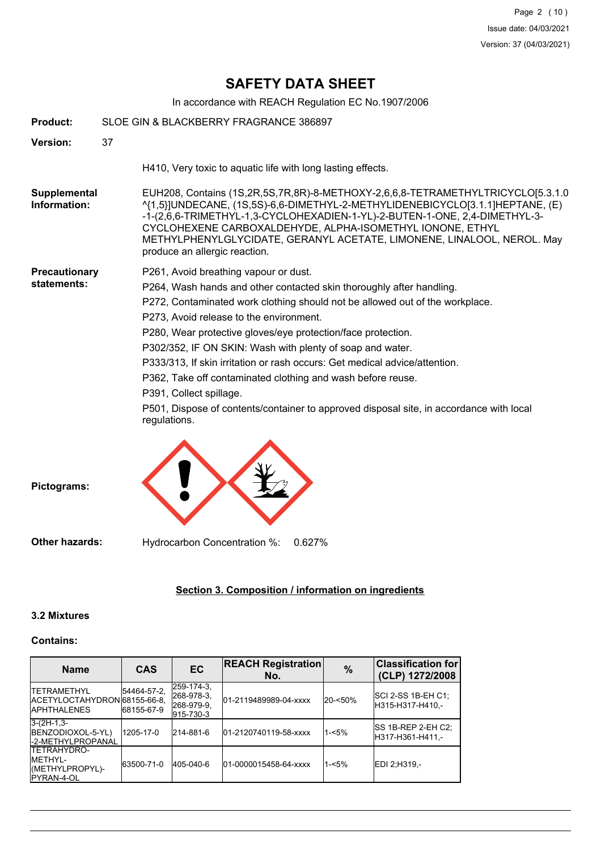# **SAFETY DATA SHEET**

In accordance with REACH Regulation EC No.1907/2006

| Product:                            | SLOE GIN & BLACKBERRY FRAGRANCE 386897                                                                                                                                                                                                                                                                                                                                                                                                                                                                                                                                                                                                                   |
|-------------------------------------|----------------------------------------------------------------------------------------------------------------------------------------------------------------------------------------------------------------------------------------------------------------------------------------------------------------------------------------------------------------------------------------------------------------------------------------------------------------------------------------------------------------------------------------------------------------------------------------------------------------------------------------------------------|
| <b>Version:</b>                     | 37                                                                                                                                                                                                                                                                                                                                                                                                                                                                                                                                                                                                                                                       |
|                                     | H410, Very toxic to aquatic life with long lasting effects.                                                                                                                                                                                                                                                                                                                                                                                                                                                                                                                                                                                              |
| <b>Supplemental</b><br>Information: | EUH208, Contains (1S,2R,5S,7R,8R)-8-METHOXY-2,6,6,8-TETRAMETHYLTRICYCLO[5.3.1.0<br>^{1,5}]UNDECANE, (1S,5S)-6,6-DIMETHYL-2-METHYLIDENEBICYCLO[3.1.1]HEPTANE, (E)<br>-1-(2,6,6-TRIMETHYL-1,3-CYCLOHEXADIEN-1-YL)-2-BUTEN-1-ONE, 2,4-DIMETHYL-3-<br>CYCLOHEXENE CARBOXALDEHYDE, ALPHA-ISOMETHYL IONONE, ETHYL<br>METHYLPHENYLGLYCIDATE, GERANYL ACETATE, LIMONENE, LINALOOL, NEROL. May<br>produce an allergic reaction.                                                                                                                                                                                                                                   |
| Precautionary<br>statements:        | P261, Avoid breathing vapour or dust.<br>P264, Wash hands and other contacted skin thoroughly after handling.<br>P272, Contaminated work clothing should not be allowed out of the workplace.<br>P273, Avoid release to the environment.<br>P280, Wear protective gloves/eye protection/face protection.<br>P302/352, IF ON SKIN: Wash with plenty of soap and water.<br>P333/313, If skin irritation or rash occurs: Get medical advice/attention.<br>P362, Take off contaminated clothing and wash before reuse.<br>P391, Collect spillage.<br>P501, Dispose of contents/container to approved disposal site, in accordance with local<br>regulations. |
| Pictograms:                         |                                                                                                                                                                                                                                                                                                                                                                                                                                                                                                                                                                                                                                                          |
| <b>Other hazards:</b>               | Hydrocarbon Concentration %:<br>0.627%                                                                                                                                                                                                                                                                                                                                                                                                                                                                                                                                                                                                                   |

# **Section 3. Composition / information on ingredients**

# **3.2 Mixtures**

# **Contains:**

| <b>Name</b>                                                                     | <b>CAS</b>                | <b>EC</b>                                           | <b>REACH Registration</b><br>No. | $\%$       | <b>Classification for</b><br>(CLP) 1272/2008 |
|---------------------------------------------------------------------------------|---------------------------|-----------------------------------------------------|----------------------------------|------------|----------------------------------------------|
| <b>ITETRAMETHYL</b><br>IACETYLOCTAHYDRON 68155-66-8.<br><b>IAPHTHALENES</b>     | 54464-57-2.<br>68155-67-9 | 259-174-3.<br>268-978-3,<br>268-979-9.<br>915-730-3 | 01-2119489989-04-xxxx            | $20 - 50%$ | ISCI 2-SS 1B-EH C1:<br>H315-H317-H410.-      |
| $3-(2H-1,3-$<br>BENZODIOXOL-5-YL)<br><b>I-2-METHYLPROPANAL</b>                  | 1205-17-0                 | 214-881-6                                           | 01-2120740119-58-xxxx            | $1 - 5%$   | ISS 1B-REP 2-EH C2:<br>H317-H361-H411.-      |
| <b>ITETRAHYDRO-</b><br><b>IMETHYL-</b><br>(METHYLPROPYL)-<br><b>IPYRAN-4-OL</b> | 63500-71-0                | 405-040-6                                           | 01-0000015458-64-xxxx            | $1 - 5%$   | IEDI 2:H319.-                                |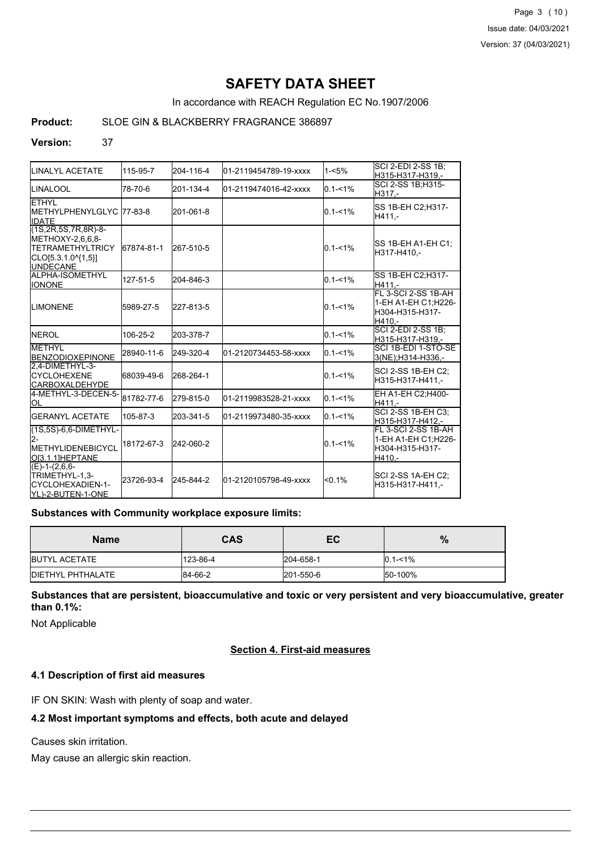Page 3 (10) Issue date: 04/03/2021 Version: 37 (04/03/2021)

# **SAFETY DATA SHEET**

In accordance with REACH Regulation EC No.1907/2006

### **Product:** SLOE GIN & BLACKBERRY FRAGRANCE 386897

#### **Version:** 37

| LINALYL ACETATE                                                                                                             | 115-95-7   | 204-116-4 | 01-2119454789-19-xxxx | $1 - 5%$    | ISCI 2-EDI 2-SS 1B:<br>H315-H317-H319,-                                 |
|-----------------------------------------------------------------------------------------------------------------------------|------------|-----------|-----------------------|-------------|-------------------------------------------------------------------------|
| <b>ILINALOOL</b>                                                                                                            | 78-70-6    | 201-134-4 | 01-2119474016-42-xxxx | $0.1 - 1\%$ | ISCI 2-SS 1B:H315-<br>H317.-                                            |
| <b>ETHYL</b><br>IMETHYLPHENYLGLYC l77-83-8<br><b>IIDATE</b>                                                                 |            | 201-061-8 |                       | $0.1 - 1\%$ | SS 1B-EH C2;H317-<br>H411.-                                             |
| $(1S, 2R, 5S, 7R, 8R) - 8 -$<br>METHOXY-2,6,6,8-<br><b>ITETRAMETHYLTRICY</b><br>$[CLO[5.3.1.0^{4}1,5]]$<br><b>IUNDECANE</b> | 67874-81-1 | 267-510-5 |                       | $0.1 - 1\%$ | ISS 1B-EH A1-EH C1:<br>H317-H410.-                                      |
| ALPHA-ISOMETHYL<br><b>I</b> IONONE                                                                                          | 127-51-5   | 204-846-3 |                       | $0.1 - 1\%$ | SS 1B-EH C2;H317-<br>H411.-                                             |
| <b>LIMONENE</b>                                                                                                             | 5989-27-5  | 227-813-5 |                       | $0.1 - 1\%$ | FL 3-SCI 2-SS 1B-AH<br>1-EH A1-EH C1;H226-<br>H304-H315-H317-<br>H410.- |
| <b>INEROL</b>                                                                                                               | 106-25-2   | 203-378-7 |                       | $0.1 - 1%$  | SCI 2-EDI 2-SS 1B;<br>H315-H317-H319,-                                  |
| <b>METHYL</b><br><b>BENZODIOXEPINONE</b>                                                                                    | 28940-11-6 | 249-320-4 | 01-2120734453-58-xxxx | $0.1 - 1%$  | SCI 1B-EDI 1-STO-SE<br>3(NE):H314-H336.-                                |
| 2,4-DIMETHYL-3-<br><b>ICYCLOHEXENE</b><br><b>I</b> CARBOXALDEHYDE                                                           | 68039-49-6 | 268-264-1 |                       | $0.1 - 1\%$ | SCI 2-SS 1B-EH C2:<br>H315-H317-H411,-                                  |
| 4-METHYL-3-DECEN-5-<br>lol                                                                                                  | 81782-77-6 | 279-815-0 | 01-2119983528-21-xxxx | $0.1 - 1\%$ | EH A1-EH C2; H400-<br>H411.-                                            |
| <b>IGERANYL ACETATE</b>                                                                                                     | 105-87-3   | 203-341-5 | 01-2119973480-35-xxxx | $0.1 - 1\%$ | <b>SCI 2-SS 1B-EH C3:</b><br>H315-H317-H412.-                           |
| $(1S, 5S)$ -6,6-DIMETHYL-<br><b>IMETHYLIDENEBICYCL</b><br>IOI3.1.1IHEPTANE                                                  | 18172-67-3 | 242-060-2 |                       | $0.1 - 1%$  | FL 3-SCI 2-SS 1B-AH<br>1-EH A1-EH C1:H226-<br>H304-H315-H317-<br>H410,- |
| $(E)-1-(2,6,6-$<br>TRIMETHYL-1,3-<br>ICYCLOHEXADIEN-1-<br>IYL)-2-BUTEN-1-ONE                                                | 23726-93-4 | 245-844-2 | 01-2120105798-49-xxxx | $< 0.1\%$   | ISCI 2-SS 1A-EH C2:<br>H315-H317-H411.-                                 |

#### **Substances with Community workplace exposure limits:**

| <b>Name</b>               | <b>CAS</b> | ЕC        | %           |
|---------------------------|------------|-----------|-------------|
| <b>IBUTYL ACETATE</b>     | 123-86-4   | 204-658-1 | $0.1 - 1\%$ |
| <b>IDIETHYL PHTHALATE</b> | 84-66-2    | 201-550-6 | 50-100%     |

**Substances that are persistent, bioaccumulative and toxic or very persistent and very bioaccumulative, greater than 0.1%:**

Not Applicable

# **Section 4. First-aid measures**

#### **4.1 Description of first aid measures**

IF ON SKIN: Wash with plenty of soap and water.

#### **4.2 Most important symptoms and effects, both acute and delayed**

Causes skin irritation.

May cause an allergic skin reaction.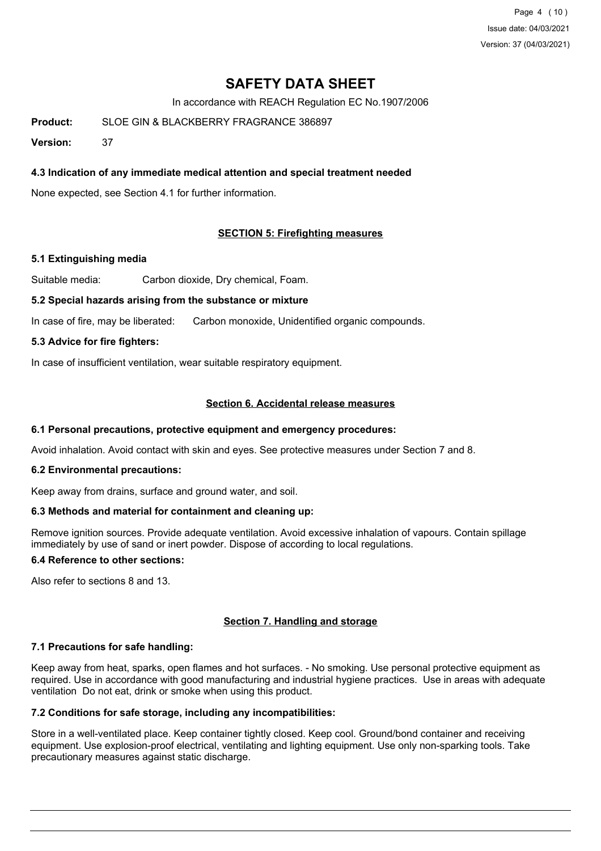Page 4 (10) Issue date: 04/03/2021 Version: 37 (04/03/2021)

# **SAFETY DATA SHEET**

In accordance with REACH Regulation EC No.1907/2006

**Product:** SLOE GIN & BLACKBERRY FRAGRANCE 386897

**Version:** 37

## **4.3 Indication of any immediate medical attention and special treatment needed**

None expected, see Section 4.1 for further information.

### **SECTION 5: Firefighting measures**

#### **5.1 Extinguishing media**

Suitable media: Carbon dioxide, Dry chemical, Foam.

#### **5.2 Special hazards arising from the substance or mixture**

In case of fire, may be liberated: Carbon monoxide, Unidentified organic compounds.

### **5.3 Advice for fire fighters:**

In case of insufficient ventilation, wear suitable respiratory equipment.

### **Section 6. Accidental release measures**

#### **6.1 Personal precautions, protective equipment and emergency procedures:**

Avoid inhalation. Avoid contact with skin and eyes. See protective measures under Section 7 and 8.

#### **6.2 Environmental precautions:**

Keep away from drains, surface and ground water, and soil.

#### **6.3 Methods and material for containment and cleaning up:**

Remove ignition sources. Provide adequate ventilation. Avoid excessive inhalation of vapours. Contain spillage immediately by use of sand or inert powder. Dispose of according to local regulations.

# **6.4 Reference to other sections:**

Also refer to sections 8 and 13.

#### **Section 7. Handling and storage**

#### **7.1 Precautions for safe handling:**

Keep away from heat, sparks, open flames and hot surfaces. - No smoking. Use personal protective equipment as required. Use in accordance with good manufacturing and industrial hygiene practices. Use in areas with adequate ventilation Do not eat, drink or smoke when using this product.

### **7.2 Conditions for safe storage, including any incompatibilities:**

Store in a well-ventilated place. Keep container tightly closed. Keep cool. Ground/bond container and receiving equipment. Use explosion-proof electrical, ventilating and lighting equipment. Use only non-sparking tools. Take precautionary measures against static discharge.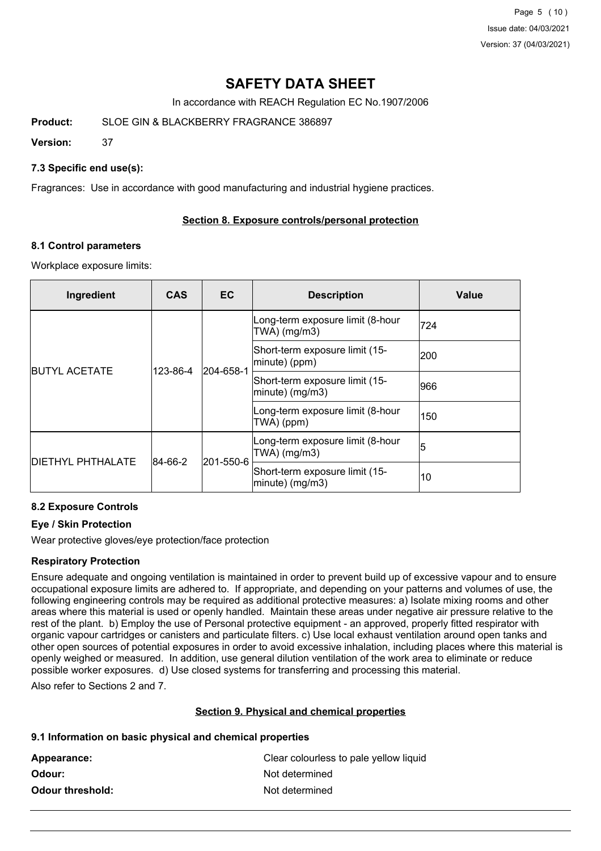Page 5 (10) Issue date: 04/03/2021 Version: 37 (04/03/2021)

# **SAFETY DATA SHEET**

In accordance with REACH Regulation EC No.1907/2006

**Product:** SLOE GIN & BLACKBERRY FRAGRANCE 386897

**Version:** 37

## **7.3 Specific end use(s):**

Fragrances: Use in accordance with good manufacturing and industrial hygiene practices.

### **Section 8. Exposure controls/personal protection**

#### **8.1 Control parameters**

Workplace exposure limits:

| Ingredient               | <b>CAS</b> | <b>EC</b> | <b>Description</b>                                 | Value |
|--------------------------|------------|-----------|----------------------------------------------------|-------|
| <b>BUTYL ACETATE</b>     | 123-86-4   | 204-658-1 | Long-term exposure limit (8-hour<br>$TWA)$ (mg/m3) | 724   |
|                          |            |           | Short-term exposure limit (15-<br>minute) (ppm)    | 200   |
|                          |            |           | Short-term exposure limit (15-<br>minute) (mg/m3)  | 966   |
|                          |            |           | Long-term exposure limit (8-hour<br>TWA) (ppm)     | 150   |
| <b>DIETHYL PHTHALATE</b> | 84-66-2    | 201-550-6 | Long-term exposure limit (8-hour<br>$TWA)$ (mg/m3) | 15    |
|                          |            |           | Short-term exposure limit (15-<br>minute) (mg/m3)  | 10    |

# **8.2 Exposure Controls**

# **Eye / Skin Protection**

Wear protective gloves/eye protection/face protection

#### **Respiratory Protection**

Ensure adequate and ongoing ventilation is maintained in order to prevent build up of excessive vapour and to ensure occupational exposure limits are adhered to. If appropriate, and depending on your patterns and volumes of use, the following engineering controls may be required as additional protective measures: a) Isolate mixing rooms and other areas where this material is used or openly handled. Maintain these areas under negative air pressure relative to the rest of the plant. b) Employ the use of Personal protective equipment - an approved, properly fitted respirator with organic vapour cartridges or canisters and particulate filters. c) Use local exhaust ventilation around open tanks and other open sources of potential exposures in order to avoid excessive inhalation, including places where this material is openly weighed or measured. In addition, use general dilution ventilation of the work area to eliminate or reduce possible worker exposures. d) Use closed systems for transferring and processing this material.

Also refer to Sections 2 and 7.

#### **Section 9. Physical and chemical properties**

#### **9.1 Information on basic physical and chemical properties**

| Appearance:      | Clear colourless to pale yellow liquid |
|------------------|----------------------------------------|
| Odour: .         | Not determined                         |
| Odour threshold: | Not determined                         |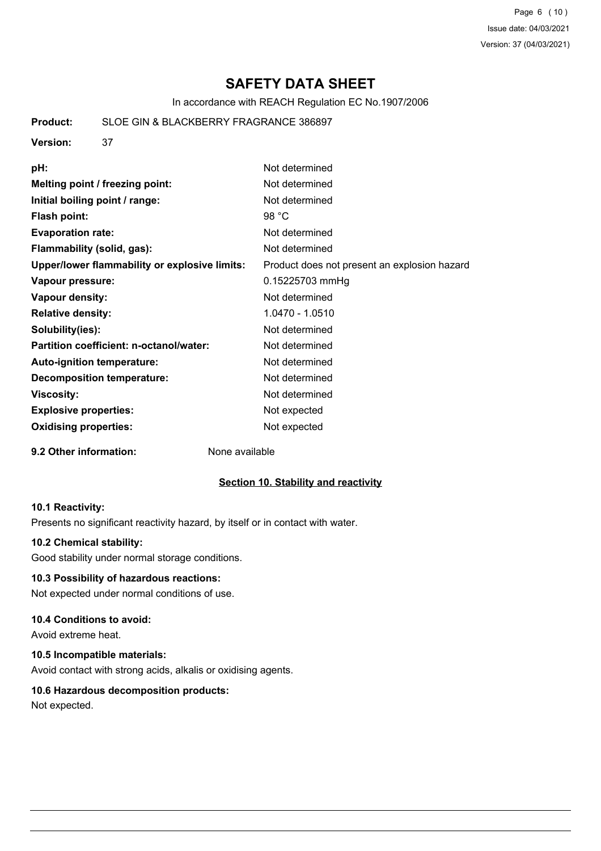Page 6 (10) Issue date: 04/03/2021 Version: 37 (04/03/2021)

# **SAFETY DATA SHEET**

In accordance with REACH Regulation EC No.1907/2006

**Product:** SLOE GIN & BLACKBERRY FRAGRANCE 386897

**Version:** 37

| pH:                                           | Not determined                               |
|-----------------------------------------------|----------------------------------------------|
| Melting point / freezing point:               | Not determined                               |
| Initial boiling point / range:                | Not determined                               |
| <b>Flash point:</b>                           | 98 $°C$                                      |
| <b>Evaporation rate:</b>                      | Not determined                               |
| Flammability (solid, gas):                    | Not determined                               |
| Upper/lower flammability or explosive limits: | Product does not present an explosion hazard |
| Vapour pressure:                              | 0.15225703 mmHg                              |
| Vapour density:                               | Not determined                               |
| <b>Relative density:</b>                      | 1.0470 - 1.0510                              |
| Solubility(ies):                              | Not determined                               |
| Partition coefficient: n-octanol/water:       | Not determined                               |
| Auto-ignition temperature:                    | Not determined                               |
| <b>Decomposition temperature:</b>             | Not determined                               |
| <b>Viscosity:</b>                             | Not determined                               |
| <b>Explosive properties:</b>                  | Not expected                                 |
| <b>Oxidising properties:</b>                  | Not expected                                 |
|                                               |                                              |

#### **9.2 Other information:** None available

# **Section 10. Stability and reactivity**

#### **10.1 Reactivity:**

Presents no significant reactivity hazard, by itself or in contact with water.

# **10.2 Chemical stability:**

Good stability under normal storage conditions.

# **10.3 Possibility of hazardous reactions:**

Not expected under normal conditions of use.

# **10.4 Conditions to avoid:**

Avoid extreme heat.

# **10.5 Incompatible materials:**

Avoid contact with strong acids, alkalis or oxidising agents.

# **10.6 Hazardous decomposition products:**

Not expected.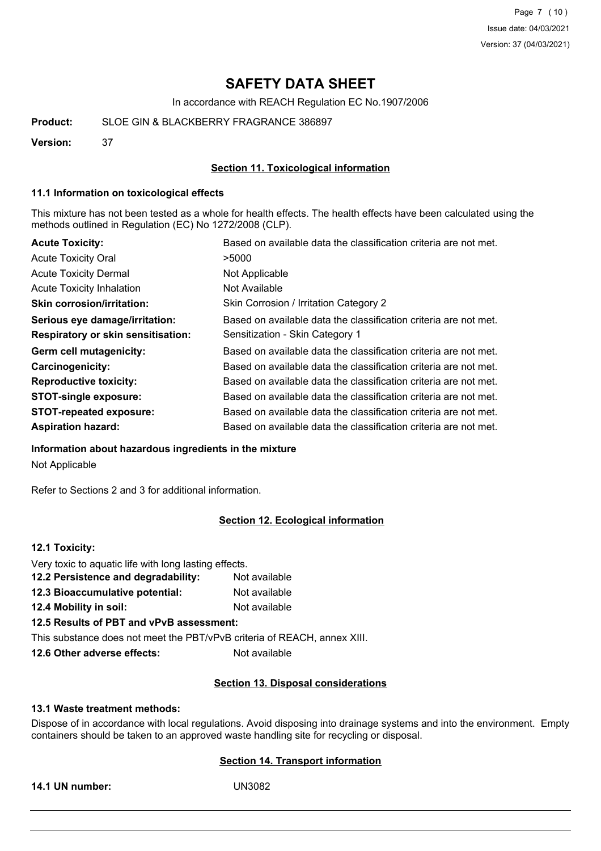Page 7 (10) Issue date: 04/03/2021 Version: 37 (04/03/2021)

# **SAFETY DATA SHEET**

In accordance with REACH Regulation EC No.1907/2006

**Product:** SLOE GIN & BLACKBERRY FRAGRANCE 386897

**Version:** 37

#### **Section 11. Toxicological information**

#### **11.1 Information on toxicological effects**

This mixture has not been tested as a whole for health effects. The health effects have been calculated using the methods outlined in Regulation (EC) No 1272/2008 (CLP).

| <b>Acute Toxicity:</b>                    | Based on available data the classification criteria are not met. |
|-------------------------------------------|------------------------------------------------------------------|
| <b>Acute Toxicity Oral</b>                | >5000                                                            |
| <b>Acute Toxicity Dermal</b>              | Not Applicable                                                   |
| <b>Acute Toxicity Inhalation</b>          | Not Available                                                    |
| <b>Skin corrosion/irritation:</b>         | Skin Corrosion / Irritation Category 2                           |
| Serious eye damage/irritation:            | Based on available data the classification criteria are not met. |
| <b>Respiratory or skin sensitisation:</b> | Sensitization - Skin Category 1                                  |
| Germ cell mutagenicity:                   | Based on available data the classification criteria are not met. |
| <b>Carcinogenicity:</b>                   | Based on available data the classification criteria are not met. |
| <b>Reproductive toxicity:</b>             | Based on available data the classification criteria are not met. |
| <b>STOT-single exposure:</b>              | Based on available data the classification criteria are not met. |
| <b>STOT-repeated exposure:</b>            | Based on available data the classification criteria are not met. |
| <b>Aspiration hazard:</b>                 | Based on available data the classification criteria are not met. |

**Information about hazardous ingredients in the mixture**

Not Applicable

Refer to Sections 2 and 3 for additional information.

#### **Section 12. Ecological information**

### **12.1 Toxicity:**

| Very toxic to aquatic life with long lasting effects.                    |               |
|--------------------------------------------------------------------------|---------------|
| 12.2 Persistence and degradability:                                      | Not available |
| 12.3 Bioaccumulative potential:                                          | Not available |
| <b>12.4 Mobility in soil:</b>                                            | Not available |
| 12.5 Results of PBT and vPvB assessment:                                 |               |
| This substance does not meet the PBT/vPvB criteria of REACH, annex XIII. |               |
|                                                                          |               |

**12.6 Other adverse effects:** Not available

#### **Section 13. Disposal considerations**

#### **13.1 Waste treatment methods:**

Dispose of in accordance with local regulations. Avoid disposing into drainage systems and into the environment. Empty containers should be taken to an approved waste handling site for recycling or disposal.

# **Section 14. Transport information**

**14.1 UN number:** UN3082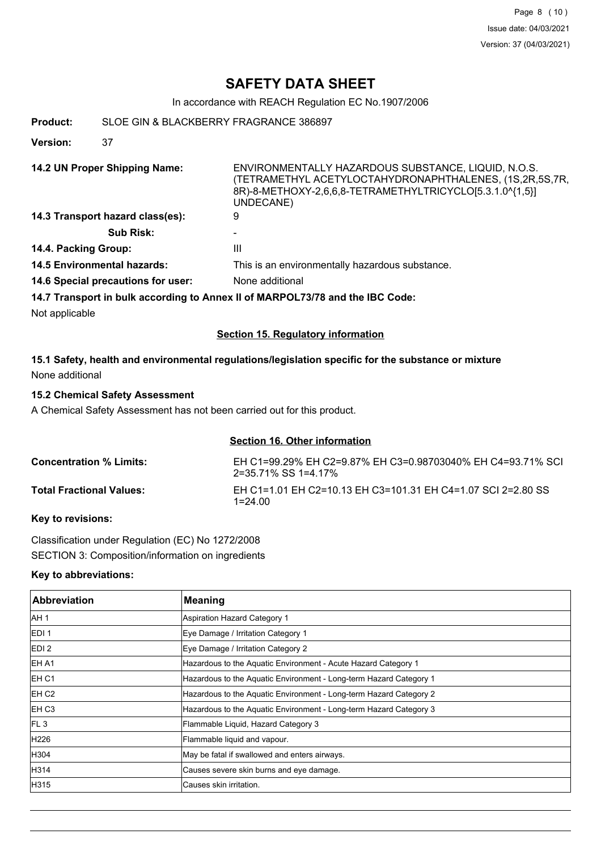# **SAFETY DATA SHEET**

In accordance with REACH Regulation EC No.1907/2006

**Product:** SLOE GIN & BLACKBERRY FRAGRANCE 386897

**Version:** 37

**14.2 UN Proper Shipping Name:** ENVIRONMENTALLY HAZARDOUS SUBSTANCE, LIQUID, N.O.S. (TETRAMETHYL ACETYLOCTAHYDRONAPHTHALENES, (1S,2R,5S,7R, 8R)-8-METHOXY-2,6,6,8-TETRAMETHYLTRICYCLO[5.3.1.0^{1,5}] UNDECANE) **14.3 Transport hazard class(es):** 9

- **Sub Risk:** -
- **14.4. Packing Group:** III
- **14.5 Environmental hazards:** This is an environmentally hazardous substance.
- **14.6 Special precautions for user:** None additional

**14.7 Transport in bulk according to Annex II of MARPOL73/78 and the IBC Code:**

Not applicable

# **Section 15. Regulatory information**

# **15.1 Safety, health and environmental regulations/legislation specific for the substance or mixture** None additional

# **15.2 Chemical Safety Assessment**

A Chemical Safety Assessment has not been carried out for this product.

#### **Section 16. Other information**

| <b>Concentration % Limits:</b>  | EH C1=99.29% EH C2=9.87% EH C3=0.98703040% EH C4=93.71% SCI<br>2=35.71% SS 1=4.17% |
|---------------------------------|------------------------------------------------------------------------------------|
| <b>Total Fractional Values:</b> | EH C1=1.01 EH C2=10.13 EH C3=101.31 EH C4=1.07 SCI 2=2.80 SS<br>1=24.00            |

# **Key to revisions:**

Classification under Regulation (EC) No 1272/2008 SECTION 3: Composition/information on ingredients

#### **Key to abbreviations:**

| Abbreviation      | <b>Meaning</b>                                                     |
|-------------------|--------------------------------------------------------------------|
| IAH <sub>1</sub>  | Aspiration Hazard Category 1                                       |
| EDI <sub>1</sub>  | Eye Damage / Irritation Category 1                                 |
| EDI <sub>2</sub>  | Eye Damage / Irritation Category 2                                 |
| <b>IEH A1</b>     | Hazardous to the Aquatic Environment - Acute Hazard Category 1     |
| EH C1             | Hazardous to the Aquatic Environment - Long-term Hazard Category 1 |
| IEH C2            | Hazardous to the Aquatic Environment - Long-term Hazard Category 2 |
| EH C <sub>3</sub> | Hazardous to the Aquatic Environment - Long-term Hazard Category 3 |
| IFL <sub>3</sub>  | Flammable Liquid, Hazard Category 3                                |
| H226              | Flammable liquid and vapour.                                       |
| H304              | May be fatal if swallowed and enters airways.                      |
| H314              | Causes severe skin burns and eye damage.                           |
| H315              | Causes skin irritation.                                            |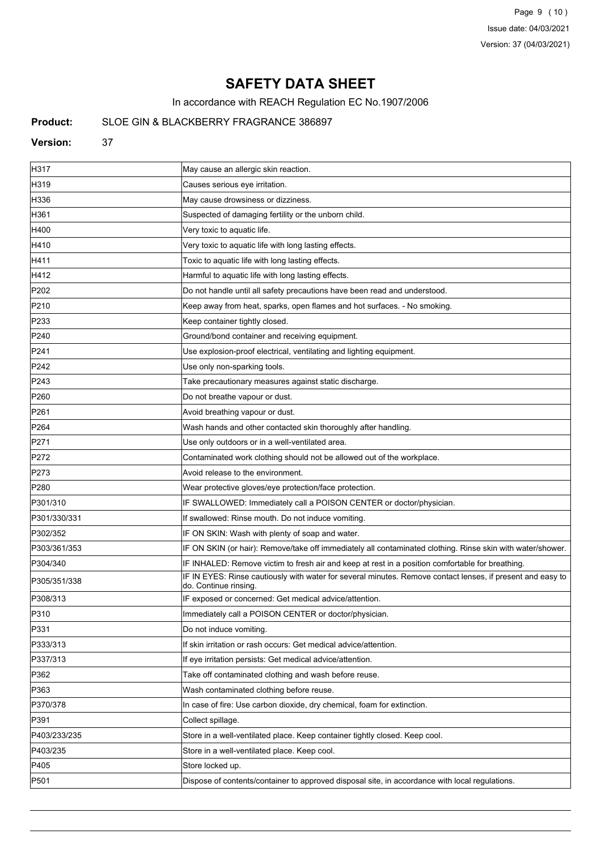Page 9 (10) Issue date: 04/03/2021 Version: 37 (04/03/2021)

# **SAFETY DATA SHEET**

In accordance with REACH Regulation EC No.1907/2006

# **Product:** SLOE GIN & BLACKBERRY FRAGRANCE 386897

#### **Version:** 37

| H317             | May cause an allergic skin reaction.                                                                                                |
|------------------|-------------------------------------------------------------------------------------------------------------------------------------|
| H319             | Causes serious eye irritation.                                                                                                      |
| H336             | May cause drowsiness or dizziness.                                                                                                  |
| H361             | Suspected of damaging fertility or the unborn child.                                                                                |
| H400             | Very toxic to aquatic life.                                                                                                         |
| H410             | Very toxic to aquatic life with long lasting effects.                                                                               |
| H411             | Toxic to aquatic life with long lasting effects.                                                                                    |
| H412             | Harmful to aquatic life with long lasting effects.                                                                                  |
| P <sub>202</sub> | Do not handle until all safety precautions have been read and understood.                                                           |
| P210             | Keep away from heat, sparks, open flames and hot surfaces. - No smoking.                                                            |
| P233             | Keep container tightly closed.                                                                                                      |
| P240             | Ground/bond container and receiving equipment.                                                                                      |
| P241             | Use explosion-proof electrical, ventilating and lighting equipment.                                                                 |
| P242             | Use only non-sparking tools.                                                                                                        |
| P243             | Take precautionary measures against static discharge.                                                                               |
| P <sub>260</sub> | Do not breathe vapour or dust.                                                                                                      |
| P261             | Avoid breathing vapour or dust.                                                                                                     |
| P <sub>264</sub> | Wash hands and other contacted skin thoroughly after handling.                                                                      |
| P271             | Use only outdoors or in a well-ventilated area.                                                                                     |
| P272             | Contaminated work clothing should not be allowed out of the workplace.                                                              |
| P273             | Avoid release to the environment.                                                                                                   |
| P <sub>280</sub> | Wear protective gloves/eye protection/face protection.                                                                              |
| P301/310         | IF SWALLOWED: Immediately call a POISON CENTER or doctor/physician.                                                                 |
| P301/330/331     | If swallowed: Rinse mouth. Do not induce vomiting.                                                                                  |
| P302/352         | IF ON SKIN: Wash with plenty of soap and water.                                                                                     |
| P303/361/353     | IF ON SKIN (or hair): Remove/take off immediately all contaminated clothing. Rinse skin with water/shower.                          |
| P304/340         | IF INHALED: Remove victim to fresh air and keep at rest in a position comfortable for breathing.                                    |
| P305/351/338     | IF IN EYES: Rinse cautiously with water for several minutes. Remove contact lenses, if present and easy to<br>do. Continue rinsing. |
| P308/313         | IF exposed or concerned: Get medical advice/attention.                                                                              |
| P310             | Immediately call a POISON CENTER or doctor/physician.                                                                               |
| P331             | Do not induce vomiting.                                                                                                             |
| P333/313         | If skin irritation or rash occurs: Get medical advice/attention.                                                                    |
| P337/313         | If eye irritation persists: Get medical advice/attention.                                                                           |
| P362             | Take off contaminated clothing and wash before reuse.                                                                               |
| P363             | Wash contaminated clothing before reuse.                                                                                            |
| P370/378         | In case of fire: Use carbon dioxide, dry chemical, foam for extinction.                                                             |
| P391             | Collect spillage.                                                                                                                   |
| P403/233/235     | Store in a well-ventilated place. Keep container tightly closed. Keep cool.                                                         |
| P403/235         | Store in a well-ventilated place. Keep cool.                                                                                        |
| P405             | Store locked up.                                                                                                                    |
| P501             | Dispose of contents/container to approved disposal site, in accordance with local regulations.                                      |
|                  |                                                                                                                                     |